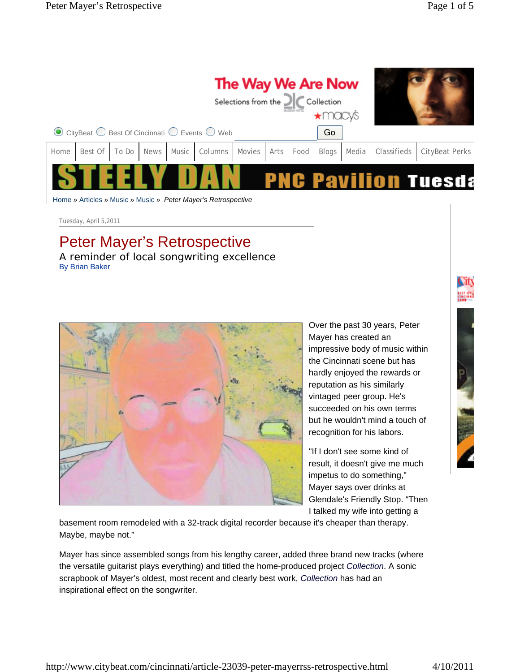| The Way We Are Now<br>Selections from the $\frac{1}{\sqrt{2}}$ Collection       |  |  |  |  |  |  |  |  |    |  |  |                                                                                                                |
|---------------------------------------------------------------------------------|--|--|--|--|--|--|--|--|----|--|--|----------------------------------------------------------------------------------------------------------------|
| $\odot$ CityBeat $\bigcirc$ Best Of Cincinnati $\bigcirc$ Events $\bigcirc$ Web |  |  |  |  |  |  |  |  | Go |  |  |                                                                                                                |
| Home                                                                            |  |  |  |  |  |  |  |  |    |  |  | Best Of   To Do   News   Music   Columns   Movies   Arts   Food   Blogs   Media   Classifieds   CityBeat Perks |
|                                                                                 |  |  |  |  |  |  |  |  |    |  |  | <b>PNC Pavilion Tuesda</b>                                                                                     |

Home » Articles » Music » Music » *Peter Mayer's Retrospective*

Tuesday, April 5,2011

## Peter Mayer's Retrospective

*A reminder of local songwriting excellence*  By Brian Baker



Over the past 30 years, Peter Mayer has created an impressive body of music within the Cincinnati scene but has hardly enjoyed the rewards or reputation as his similarly vintaged peer group. He's succeeded on his own terms but he wouldn't mind a touch of recognition for his labors.

"If I don't see some kind of result, it doesn't give me much impetus to do something," Mayer says over drinks at Glendale's Friendly Stop. "Then I talked my wife into getting a

basement room remodeled with a 32-track digital recorder because it's cheaper than therapy. Maybe, maybe not."

Mayer has since assembled songs from his lengthy career, added three brand new tracks (where the versatile guitarist plays everything) and titled the home-produced project *Collection*. A sonic scrapbook of Mayer's oldest, most recent and clearly best work, *Collection* has had an inspirational effect on the songwriter.

## City **BEST ON**

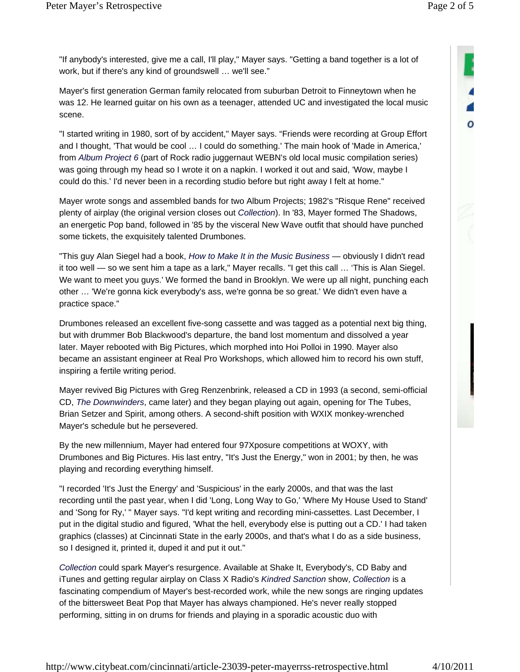$\mathbf o$ 

"If anybody's interested, give me a call, I'll play," Mayer says. "Getting a band together is a lot of work, but if there's any kind of groundswell … we'll see."

Mayer's first generation German family relocated from suburban Detroit to Finneytown when he was 12. He learned guitar on his own as a teenager, attended UC and investigated the local music scene.

"I started writing in 1980, sort of by accident," Mayer says. "Friends were recording at Group Effort and I thought, 'That would be cool … I could do something.' The main hook of 'Made in America,' from *Album Project 6* (part of Rock radio juggernaut WEBN's old local music compilation series) was going through my head so I wrote it on a napkin. I worked it out and said, 'Wow, maybe I could do this.' I'd never been in a recording studio before but right away I felt at home."

Mayer wrote songs and assembled bands for two Album Projects; 1982's "Risque Rene" received plenty of airplay (the original version closes out *Collection*). In '83, Mayer formed The Shadows, an energetic Pop band, followed in '85 by the visceral New Wave outfit that should have punched some tickets, the exquisitely talented Drumbones.

"This guy Alan Siegel had a book, *How to Make It in the Music Business* — obviously I didn't read it too well — so we sent him a tape as a lark," Mayer recalls. "I get this call … 'This is Alan Siegel. We want to meet you guys.' We formed the band in Brooklyn. We were up all night, punching each other … 'We're gonna kick everybody's ass, we're gonna be so great.' We didn't even have a practice space."

Drumbones released an excellent five-song cassette and was tagged as a potential next big thing, but with drummer Bob Blackwood's departure, the band lost momentum and dissolved a year later. Mayer rebooted with Big Pictures, which morphed into Hoi Polloi in 1990. Mayer also became an assistant engineer at Real Pro Workshops, which allowed him to record his own stuff, inspiring a fertile writing period.

Mayer revived Big Pictures with Greg Renzenbrink, released a CD in 1993 (a second, semi-official CD, *The Downwinders*, came later) and they began playing out again, opening for The Tubes, Brian Setzer and Spirit, among others. A second-shift position with WXIX monkey-wrenched Mayer's schedule but he persevered.

By the new millennium, Mayer had entered four 97Xposure competitions at WOXY, with Drumbones and Big Pictures. His last entry, "It's Just the Energy," won in 2001; by then, he was playing and recording everything himself.

"I recorded 'It's Just the Energy' and 'Suspicious' in the early 2000s, and that was the last recording until the past year, when I did 'Long, Long Way to Go,' 'Where My House Used to Stand' and 'Song for Ry,' " Mayer says. "I'd kept writing and recording mini-cassettes. Last December, I put in the digital studio and figured, 'What the hell, everybody else is putting out a CD.' I had taken graphics (classes) at Cincinnati State in the early 2000s, and that's what I do as a side business, so I designed it, printed it, duped it and put it out."

*Collection* could spark Mayer's resurgence. Available at Shake It, Everybody's, CD Baby and iTunes and getting regular airplay on Class X Radio's *Kindred Sanction* show, *Collection* is a fascinating compendium of Mayer's best-recorded work, while the new songs are ringing updates of the bittersweet Beat Pop that Mayer has always championed. He's never really stopped performing, sitting in on drums for friends and playing in a sporadic acoustic duo with